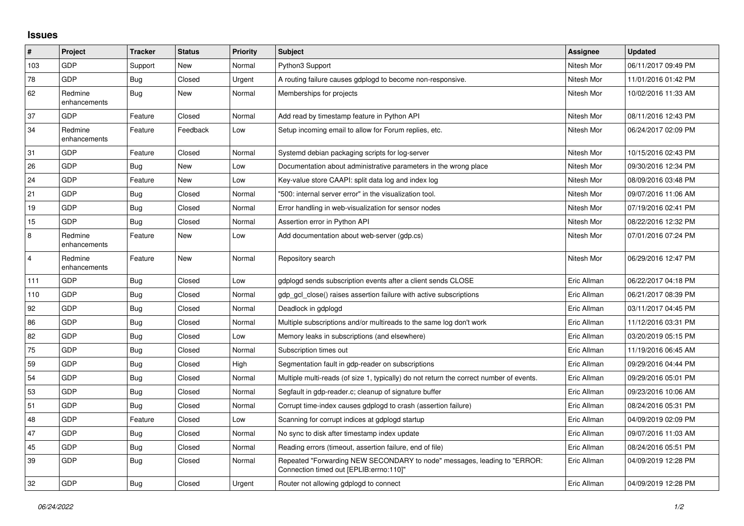## **Issues**

| #              | Project                 | <b>Tracker</b> | <b>Status</b> | <b>Priority</b> | <b>Subject</b>                                                                                                      | <b>Assignee</b> | <b>Updated</b>      |
|----------------|-------------------------|----------------|---------------|-----------------|---------------------------------------------------------------------------------------------------------------------|-----------------|---------------------|
| 103            | <b>GDP</b>              | Support        | New           | Normal          | Python3 Support                                                                                                     | Nitesh Mor      | 06/11/2017 09:49 PM |
| 78             | GDP                     | <b>Bug</b>     | Closed        | Urgent          | A routing failure causes gdplogd to become non-responsive.                                                          | Nitesh Mor      | 11/01/2016 01:42 PM |
| 62             | Redmine<br>enhancements | <b>Bug</b>     | New           | Normal          | Memberships for projects                                                                                            | Nitesh Mor      | 10/02/2016 11:33 AM |
| 37             | GDP                     | Feature        | Closed        | Normal          | Add read by timestamp feature in Python API                                                                         | Nitesh Mor      | 08/11/2016 12:43 PM |
| 34             | Redmine<br>enhancements | Feature        | Feedback      | Low             | Setup incoming email to allow for Forum replies, etc.                                                               | Nitesh Mor      | 06/24/2017 02:09 PM |
| 31             | GDP                     | Feature        | Closed        | Normal          | Systemd debian packaging scripts for log-server                                                                     | Nitesh Mor      | 10/15/2016 02:43 PM |
| 26             | <b>GDP</b>              | <b>Bug</b>     | New           | Low             | Documentation about administrative parameters in the wrong place                                                    | Nitesh Mor      | 09/30/2016 12:34 PM |
| 24             | <b>GDP</b>              | Feature        | New           | Low             | Key-value store CAAPI: split data log and index log                                                                 | Nitesh Mor      | 08/09/2016 03:48 PM |
| 21             | GDP                     | <b>Bug</b>     | Closed        | Normal          | "500: internal server error" in the visualization tool.                                                             | Nitesh Mor      | 09/07/2016 11:06 AM |
| 19             | <b>GDP</b>              | <b>Bug</b>     | Closed        | Normal          | Error handling in web-visualization for sensor nodes                                                                | Nitesh Mor      | 07/19/2016 02:41 PM |
| 15             | <b>GDP</b>              | <b>Bug</b>     | Closed        | Normal          | Assertion error in Python API                                                                                       | Nitesh Mor      | 08/22/2016 12:32 PM |
| 8              | Redmine<br>enhancements | Feature        | New           | Low             | Add documentation about web-server (gdp.cs)                                                                         | Nitesh Mor      | 07/01/2016 07:24 PM |
| $\overline{4}$ | Redmine<br>enhancements | Feature        | New           | Normal          | Repository search                                                                                                   | Nitesh Mor      | 06/29/2016 12:47 PM |
| 111            | <b>GDP</b>              | <b>Bug</b>     | Closed        | Low             | gdplogd sends subscription events after a client sends CLOSE                                                        | Eric Allman     | 06/22/2017 04:18 PM |
| 110            | <b>GDP</b>              | Bug            | Closed        | Normal          | gdp gcl close() raises assertion failure with active subscriptions                                                  | Eric Allman     | 06/21/2017 08:39 PM |
| 92             | <b>GDP</b>              | <b>Bug</b>     | Closed        | Normal          | Deadlock in gdplogd                                                                                                 | Eric Allman     | 03/11/2017 04:45 PM |
| 86             | <b>GDP</b>              | Bug            | Closed        | Normal          | Multiple subscriptions and/or multireads to the same log don't work                                                 | Eric Allman     | 11/12/2016 03:31 PM |
| 82             | <b>GDP</b>              | Bug            | Closed        | Low             | Memory leaks in subscriptions (and elsewhere)                                                                       | Eric Allman     | 03/20/2019 05:15 PM |
| 75             | <b>GDP</b>              | Bug            | Closed        | Normal          | Subscription times out                                                                                              | Eric Allman     | 11/19/2016 06:45 AM |
| 59             | GDP                     | <b>Bug</b>     | Closed        | High            | Segmentation fault in gdp-reader on subscriptions                                                                   | Eric Allman     | 09/29/2016 04:44 PM |
| 54             | <b>GDP</b>              | <b>Bug</b>     | Closed        | Normal          | Multiple multi-reads (of size 1, typically) do not return the correct number of events.                             | Eric Allman     | 09/29/2016 05:01 PM |
| 53             | <b>GDP</b>              | <b>Bug</b>     | Closed        | Normal          | Segfault in gdp-reader.c; cleanup of signature buffer                                                               | Eric Allman     | 09/23/2016 10:06 AM |
| 51             | <b>GDP</b>              | <b>Bug</b>     | Closed        | Normal          | Corrupt time-index causes gdplogd to crash (assertion failure)                                                      | Eric Allman     | 08/24/2016 05:31 PM |
| 48             | <b>GDP</b>              | Feature        | Closed        | Low             | Scanning for corrupt indices at gdplogd startup                                                                     | Eric Allman     | 04/09/2019 02:09 PM |
| 47             | <b>GDP</b>              | Bug            | Closed        | Normal          | No sync to disk after timestamp index update                                                                        | Eric Allman     | 09/07/2016 11:03 AM |
| 45             | <b>GDP</b>              | <b>Bug</b>     | Closed        | Normal          | Reading errors (timeout, assertion failure, end of file)                                                            | Eric Allman     | 08/24/2016 05:51 PM |
| 39             | GDP                     | <b>Bug</b>     | Closed        | Normal          | Repeated "Forwarding NEW SECONDARY to node" messages, leading to "ERROR:<br>Connection timed out [EPLIB:errno:110]" | Eric Allman     | 04/09/2019 12:28 PM |
| 32             | GDP                     | Bug            | Closed        | Urgent          | Router not allowing gdplogd to connect                                                                              | Eric Allman     | 04/09/2019 12:28 PM |